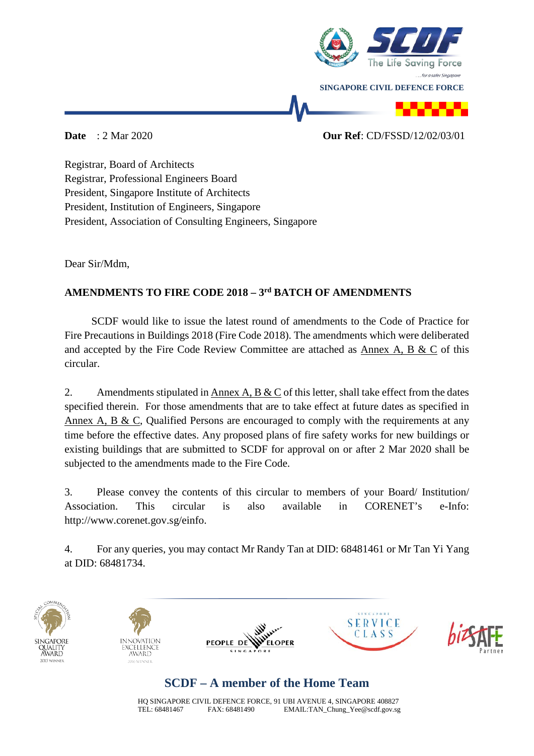

### **Date** : 2 Mar 2020 **Our Ref**: CD/FSSD/12/02/03/01

Registrar, Board of Architects Registrar, Professional Engineers Board President, Singapore Institute of Architects President, Institution of Engineers, Singapore President, Association of Consulting Engineers, Singapore

Dear Sir/Mdm,

## **AMENDMENTS TO FIRE CODE 2018 – 3rd BATCH OF AMENDMENTS**

 SCDF would like to issue the latest round of amendments to the Code of Practice for Fire Precautions in Buildings 2018 (Fire Code 2018). The amendments which were deliberated and accepted by the Fire Code Review Committee are attached as Annex A, B & C of this circular.

2. Amendments stipulated in Annex A,  $\overline{B \& C}$  of this letter, shall take effect from the dates specified therein. For those amendments that are to take effect at future dates as specified in Annex A, B & C, Qualified Persons are encouraged to comply with the requirements at any time before the effective dates. Any proposed plans of fire safety works for new buildings or existing buildings that are submitted to SCDF for approval on or after 2 Mar 2020 shall be subjected to the amendments made to the Fire Code.

3. Please convey the contents of this circular to members of your Board/ Institution/ Association. This circular is also available in CORENET's e-Info: http://www.corenet.gov.sg/einfo.

4. For any queries, you may contact Mr Randy Tan at DID: 68481461 or Mr Tan Yi Yang at DID: 68481734.



# **SCDF – A member of the Home Team**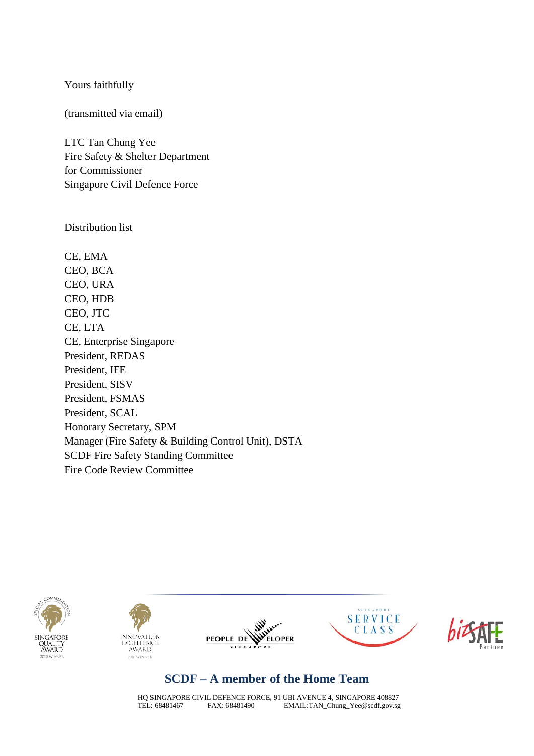Yours faithfully

(transmitted via email)

LTC Tan Chung Yee Fire Safety & Shelter Department for Commissioner Singapore Civil Defence Force

Distribution list

CE, EMA CEO, BCA CEO, URA CEO, HDB CEO, JTC CE, LTA CE, Enterprise Singapore President, REDAS President, IFE President, SISV President, FSMAS President, SCAL Honorary Secretary, SPM Manager (Fire Safety & Building Control Unit), DSTA SCDF Fire Safety Standing Committee Fire Code Review Committee











### **SCDF – A member of the Home Team**

HQ SINGAPORE CIVIL DEFENCE FORCE, 91 UBI AVENUE 4, SINGAPORE 408827<br>TEL: 68481467 FAX: 68481490 EMAIL:TAN\_Chung\_Yee@scdf.gov.sg EMAIL: TAN\_Chung\_Yee@scdf.gov.sg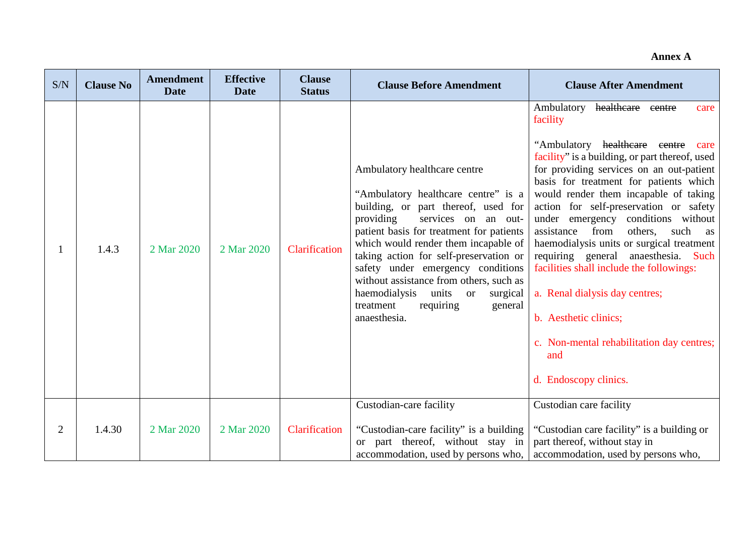#### **Annex A**

| S/N            | <b>Clause No</b> | <b>Amendment</b><br><b>Date</b> | <b>Effective</b><br><b>Date</b> | <b>Clause</b><br><b>Status</b> | <b>Clause Before Amendment</b>                                                                                                                                                                                                                                                                                                                                                                                                                          | <b>Clause After Amendment</b>                                                                                                                                                                                                                                                                                                                                                                                                                                                                                                                                                                                                                                                           |
|----------------|------------------|---------------------------------|---------------------------------|--------------------------------|---------------------------------------------------------------------------------------------------------------------------------------------------------------------------------------------------------------------------------------------------------------------------------------------------------------------------------------------------------------------------------------------------------------------------------------------------------|-----------------------------------------------------------------------------------------------------------------------------------------------------------------------------------------------------------------------------------------------------------------------------------------------------------------------------------------------------------------------------------------------------------------------------------------------------------------------------------------------------------------------------------------------------------------------------------------------------------------------------------------------------------------------------------------|
|                | 1.4.3            | 2 Mar 2020                      | 2 Mar 2020                      | Clarification                  | Ambulatory healthcare centre<br>"Ambulatory healthcare centre" is a<br>building, or part thereof, used for<br>providing<br>services on an out-<br>patient basis for treatment for patients<br>which would render them incapable of<br>taking action for self-preservation or<br>safety under emergency conditions<br>without assistance from others, such as<br>haemodialysis units or<br>surgical<br>requiring<br>general<br>treatment<br>anaesthesia. | healtheare<br>Ambulatory<br>eentre<br>care<br>facility<br>"Ambulatory healthcare centre<br>care<br>facility" is a building, or part thereof, used<br>for providing services on an out-patient<br>basis for treatment for patients which<br>would render them incapable of taking<br>action for self-preservation or safety<br>under emergency conditions without<br>assistance<br>from<br>others,<br>such<br>as<br>haemodialysis units or surgical treatment<br>requiring general anaesthesia. Such<br>facilities shall include the followings:<br>a. Renal dialysis day centres;<br>b. Aesthetic clinics;<br>c. Non-mental rehabilitation day centres;<br>and<br>d. Endoscopy clinics. |
| $\overline{2}$ | 1.4.30           | 2 Mar 2020                      | 2 Mar 2020                      | Clarification                  | Custodian-care facility<br>"Custodian-care facility" is a building<br>or part thereof, without stay in<br>accommodation, used by persons who,                                                                                                                                                                                                                                                                                                           | Custodian care facility<br>"Custodian care facility" is a building or<br>part thereof, without stay in<br>accommodation, used by persons who,                                                                                                                                                                                                                                                                                                                                                                                                                                                                                                                                           |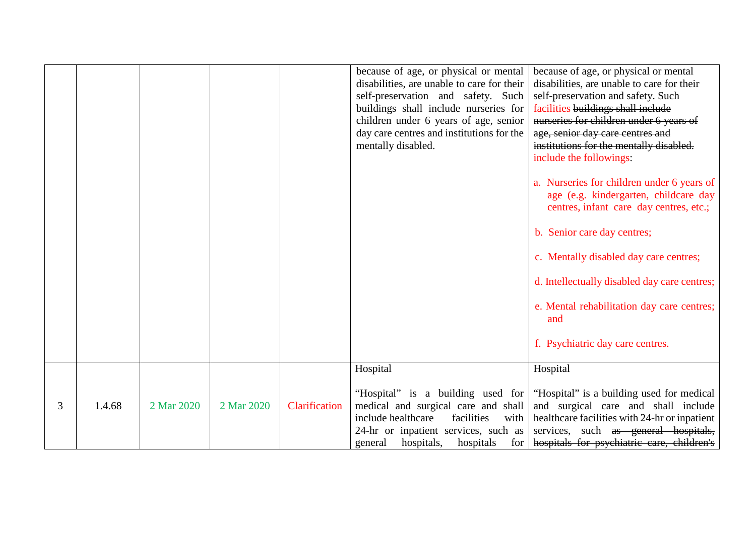|   |        |            |            |               | because of age, or physical or mental<br>disabilities, are unable to care for their<br>self-preservation and safety. Such<br>buildings shall include nurseries for<br>children under 6 years of age, senior<br>day care centres and institutions for the<br>mentally disabled. | because of age, or physical or mental<br>disabilities, are unable to care for their<br>self-preservation and safety. Such<br>facilities buildings shall include<br>nurseries for children under 6 years of<br>age, senior day care centres and<br>institutions for the mentally disabled.<br>include the followings:<br>a. Nurseries for children under 6 years of<br>age (e.g. kindergarten, childcare day<br>centres, infant care day centres, etc.;<br>b. Senior care day centres;<br>c. Mentally disabled day care centres;<br>d. Intellectually disabled day care centres;<br>e. Mental rehabilitation day care centres;<br>and<br>f. Psychiatric day care centres. |
|---|--------|------------|------------|---------------|--------------------------------------------------------------------------------------------------------------------------------------------------------------------------------------------------------------------------------------------------------------------------------|--------------------------------------------------------------------------------------------------------------------------------------------------------------------------------------------------------------------------------------------------------------------------------------------------------------------------------------------------------------------------------------------------------------------------------------------------------------------------------------------------------------------------------------------------------------------------------------------------------------------------------------------------------------------------|
|   |        |            |            |               | Hospital<br>"Hospital" is a building used for                                                                                                                                                                                                                                  | Hospital<br>"Hospital" is a building used for medical                                                                                                                                                                                                                                                                                                                                                                                                                                                                                                                                                                                                                    |
| 3 | 1.4.68 | 2 Mar 2020 | 2 Mar 2020 | Clarification | medical and surgical care and shall<br>include healthcare<br>facilities<br>with<br>24-hr or inpatient services, such as<br>hospitals,<br>for<br>hospitals<br>general                                                                                                           | and surgical care and shall include<br>healthcare facilities with 24-hr or inpatient<br>services, such as general hospitals,<br>hospitals for psychiatric care, children's                                                                                                                                                                                                                                                                                                                                                                                                                                                                                               |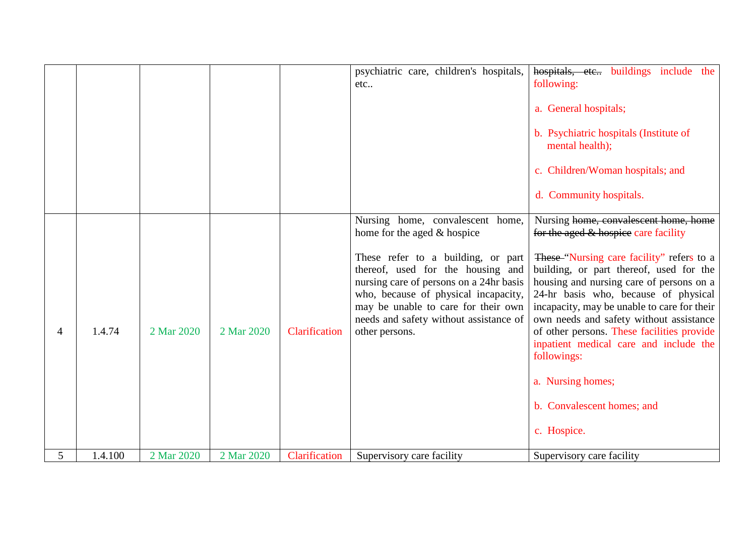|             |         |            |            |               | psychiatric care, children's hospitals,<br>etc                                                                                                                                                                                                                                                                                   | hospitals, etc., buildings include the<br>following:<br>a. General hospitals;<br>b. Psychiatric hospitals (Institute of<br>mental health);<br>c. Children/Woman hospitals; and<br>d. Community hospitals.                                                                                                                                                                                                                                                                                                                    |
|-------------|---------|------------|------------|---------------|----------------------------------------------------------------------------------------------------------------------------------------------------------------------------------------------------------------------------------------------------------------------------------------------------------------------------------|------------------------------------------------------------------------------------------------------------------------------------------------------------------------------------------------------------------------------------------------------------------------------------------------------------------------------------------------------------------------------------------------------------------------------------------------------------------------------------------------------------------------------|
| 4           | 1.4.74  | 2 Mar 2020 | 2 Mar 2020 | Clarification | Nursing home, convalescent home,<br>home for the aged & hospice<br>These refer to a building, or part<br>thereof, used for the housing and<br>nursing care of persons on a 24hr basis<br>who, because of physical incapacity,<br>may be unable to care for their own<br>needs and safety without assistance of<br>other persons. | Nursing home, convalescent home, home<br>for the aged & hospice care facility<br>These "Nursing care facility" refers to a<br>building, or part thereof, used for the<br>housing and nursing care of persons on a<br>24-hr basis who, because of physical<br>incapacity, may be unable to care for their<br>own needs and safety without assistance<br>of other persons. These facilities provide<br>inpatient medical care and include the<br>followings:<br>a. Nursing homes;<br>b. Convalescent homes; and<br>c. Hospice. |
| $5^{\circ}$ | 1.4.100 | 2 Mar 2020 | 2 Mar 2020 | Clarification | Supervisory care facility                                                                                                                                                                                                                                                                                                        | Supervisory care facility                                                                                                                                                                                                                                                                                                                                                                                                                                                                                                    |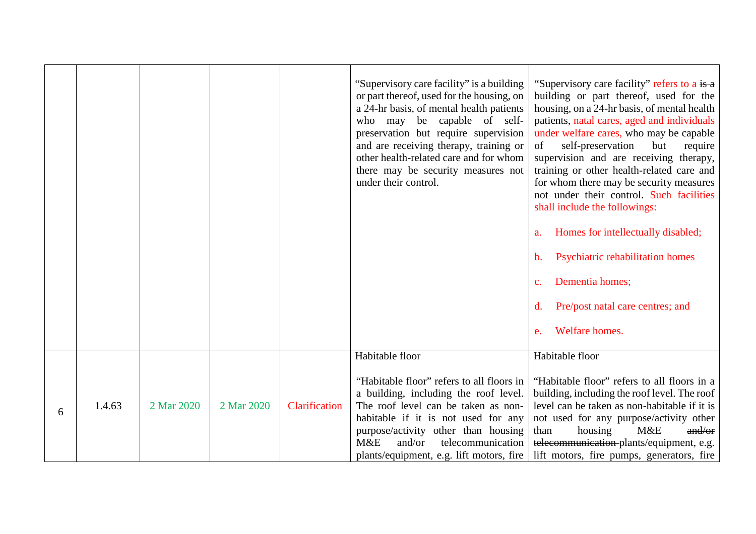|   |        |            |            |               | "Supervisory care facility" is a building<br>or part thereof, used for the housing, on<br>a 24-hr basis, of mental health patients<br>who may be capable of self-<br>preservation but require supervision<br>and are receiving therapy, training or<br>other health-related care and for whom<br>there may be security measures not<br>under their control. | "Supervisory care facility" refers to a is a<br>building or part thereof, used for the<br>housing, on a 24-hr basis, of mental health<br>patients, natal cares, aged and individuals<br>under welfare cares, who may be capable<br>self-preservation<br>but<br>require<br>of<br>supervision and are receiving therapy,<br>training or other health-related care and<br>for whom there may be security measures<br>not under their control. Such facilities<br>shall include the followings:<br>Homes for intellectually disabled;<br>a.<br>Psychiatric rehabilitation homes<br>b.<br>Dementia homes;<br>$\mathbf{c}$ .<br>Pre/post natal care centres; and<br>d.<br>Welfare homes.<br>e. |
|---|--------|------------|------------|---------------|-------------------------------------------------------------------------------------------------------------------------------------------------------------------------------------------------------------------------------------------------------------------------------------------------------------------------------------------------------------|------------------------------------------------------------------------------------------------------------------------------------------------------------------------------------------------------------------------------------------------------------------------------------------------------------------------------------------------------------------------------------------------------------------------------------------------------------------------------------------------------------------------------------------------------------------------------------------------------------------------------------------------------------------------------------------|
| 6 | 1.4.63 | 2 Mar 2020 | 2 Mar 2020 | Clarification | Habitable floor<br>"Habitable floor" refers to all floors in<br>a building, including the roof level.<br>The roof level can be taken as non-<br>habitable if it is not used for any<br>purpose/activity other than housing<br>and/or<br>telecommunication<br>M&E<br>plants/equipment, e.g. lift motors, fire                                                | Habitable floor<br>"Habitable floor" refers to all floors in a<br>building, including the roof level. The roof<br>level can be taken as non-habitable if it is<br>not used for any purpose/activity other<br>housing<br>than<br>M&E<br>and/or<br>telecommunication-plants/equipment, e.g.<br>lift motors, fire pumps, generators, fire                                                                                                                                                                                                                                                                                                                                                   |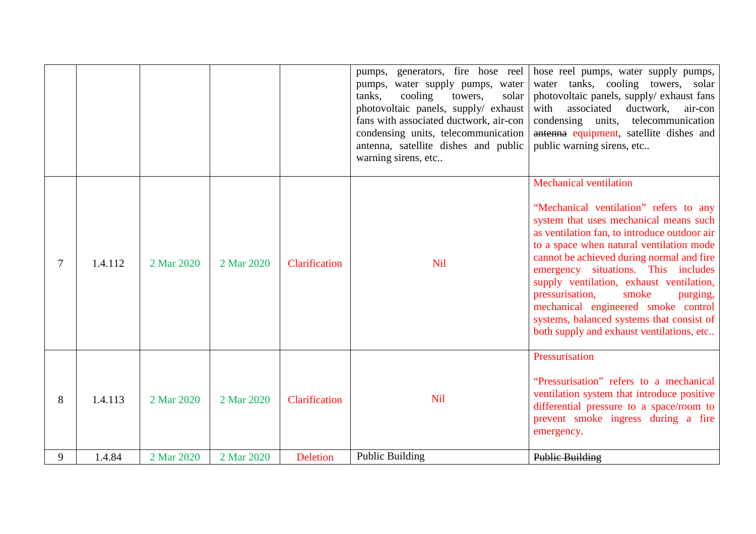| 9 | 1.4.84  | 2 Mar 2020 | 2 Mar 2020 | <b>Deletion</b> | <b>Public Building</b>                                                                                                                                                                                                                                            | Public Building                                                                                                                                                                                                                                                                                                                                                                                                                                                                                                        |
|---|---------|------------|------------|-----------------|-------------------------------------------------------------------------------------------------------------------------------------------------------------------------------------------------------------------------------------------------------------------|------------------------------------------------------------------------------------------------------------------------------------------------------------------------------------------------------------------------------------------------------------------------------------------------------------------------------------------------------------------------------------------------------------------------------------------------------------------------------------------------------------------------|
| 8 | 1.4.113 | 2 Mar 2020 | 2 Mar 2020 | Clarification   | <b>Nil</b>                                                                                                                                                                                                                                                        | Pressurisation<br>"Pressurisation" refers to a mechanical<br>ventilation system that introduce positive<br>differential pressure to a space/room to<br>prevent smoke ingress during a fire<br>emergency.                                                                                                                                                                                                                                                                                                               |
|   | 1.4.112 | 2 Mar 2020 | 2 Mar 2020 | Clarification   | <b>Nil</b>                                                                                                                                                                                                                                                        | <b>Mechanical ventilation</b><br>"Mechanical ventilation" refers to any<br>system that uses mechanical means such<br>as ventilation fan, to introduce outdoor air<br>to a space when natural ventilation mode<br>cannot be achieved during normal and fire<br>emergency situations. This includes<br>supply ventilation, exhaust ventilation,<br>pressurisation,<br>smoke<br>purging,<br>mechanical engineered smoke control<br>systems, balanced systems that consist of<br>both supply and exhaust ventilations, etc |
|   |         |            |            |                 | pumps, water supply pumps, water<br>cooling<br>tanks,<br>towers,<br>solar<br>photovoltaic panels, supply/ exhaust<br>fans with associated ductwork, air-con<br>condensing units, telecommunication<br>antenna, satellite dishes and public<br>warning sirens, etc | pumps, generators, fire hose reel   hose reel pumps, water supply pumps,<br>water tanks, cooling towers, solar<br>photovoltaic panels, supply/ exhaust fans<br>associated<br>with<br>ductwork,<br>air-con<br>condensing units, telecommunication<br>antenna equipment, satellite dishes and<br>public warning sirens, etc                                                                                                                                                                                              |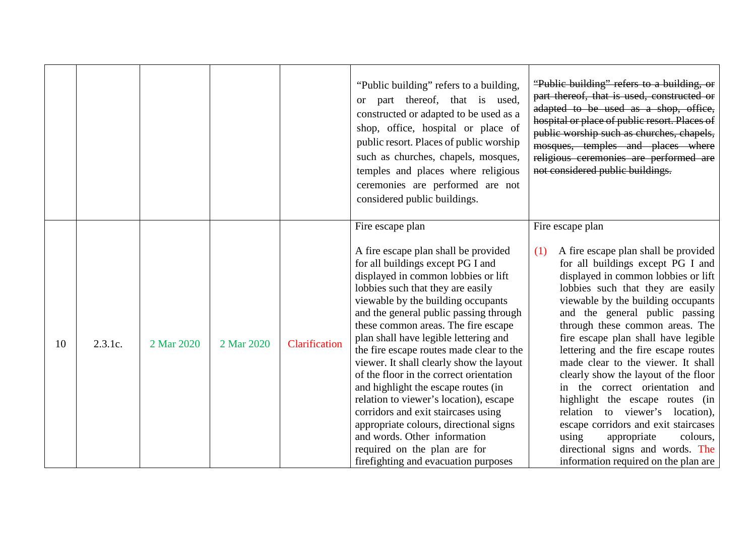|    |         |            |            |               | "Public building" refers to a building,<br>part thereof, that is used,<br><sub>or</sub><br>constructed or adapted to be used as a<br>shop, office, hospital or place of<br>public resort. Places of public worship<br>such as churches, chapels, mosques,<br>temples and places where religious<br>ceremonies are performed are not<br>considered public buildings.                                                                                                                                                                                                                                                                                                                                                                                    | "Public building" refers to a building, or<br>part thereof, that is used, constructed or<br>adapted to be used as a shop, office,<br>hospital or place of public resort. Places of<br>public worship such as churches, chapels,<br>mosques, temples and places where<br>religious ceremonies are performed are<br>not considered public buildings.                                                                                                                                                                                                                                                                                                                                                                       |
|----|---------|------------|------------|---------------|--------------------------------------------------------------------------------------------------------------------------------------------------------------------------------------------------------------------------------------------------------------------------------------------------------------------------------------------------------------------------------------------------------------------------------------------------------------------------------------------------------------------------------------------------------------------------------------------------------------------------------------------------------------------------------------------------------------------------------------------------------|--------------------------------------------------------------------------------------------------------------------------------------------------------------------------------------------------------------------------------------------------------------------------------------------------------------------------------------------------------------------------------------------------------------------------------------------------------------------------------------------------------------------------------------------------------------------------------------------------------------------------------------------------------------------------------------------------------------------------|
| 10 | 2.3.1c. | 2 Mar 2020 | 2 Mar 2020 | Clarification | Fire escape plan<br>A fire escape plan shall be provided<br>for all buildings except PG I and<br>displayed in common lobbies or lift<br>lobbies such that they are easily<br>viewable by the building occupants<br>and the general public passing through<br>these common areas. The fire escape<br>plan shall have legible lettering and<br>the fire escape routes made clear to the<br>viewer. It shall clearly show the layout<br>of the floor in the correct orientation<br>and highlight the escape routes (in<br>relation to viewer's location), escape<br>corridors and exit staircases using<br>appropriate colours, directional signs<br>and words. Other information<br>required on the plan are for<br>firefighting and evacuation purposes | Fire escape plan<br>A fire escape plan shall be provided<br>(1)<br>for all buildings except PG I and<br>displayed in common lobbies or lift<br>lobbies such that they are easily<br>viewable by the building occupants<br>and the general public passing<br>through these common areas. The<br>fire escape plan shall have legible<br>lettering and the fire escape routes<br>made clear to the viewer. It shall<br>clearly show the layout of the floor<br>in the correct orientation and<br>highlight the escape routes (in<br>relation to viewer's location),<br>escape corridors and exit staircases<br>using<br>appropriate<br>colours,<br>directional signs and words. The<br>information required on the plan are |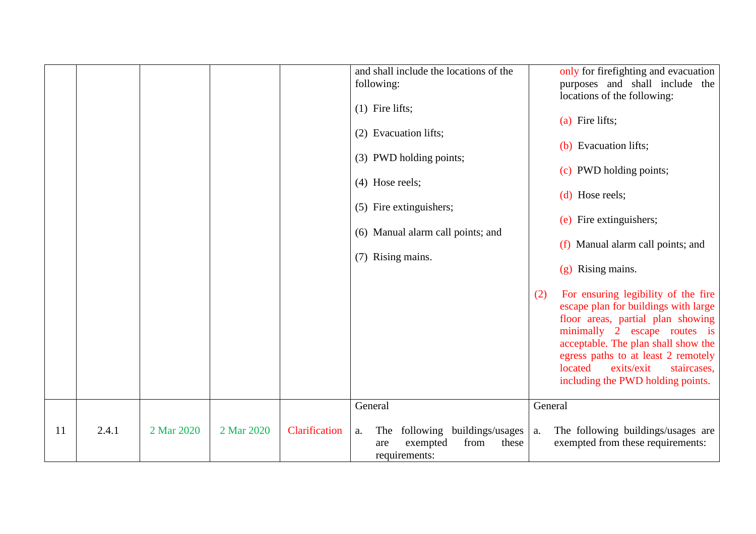|    |       |            |            |               | and shall include the locations of the<br>following:<br>$(1)$ Fire lifts;<br>(2) Evacuation lifts;<br>(3) PWD holding points;<br>$(4)$ Hose reels;<br>(5) Fire extinguishers;<br>(6) Manual alarm call points; and<br>(7) Rising mains. | (2)     | only for firefighting and evacuation<br>purposes and shall include the<br>locations of the following:<br>(a) Fire lifts;<br>(b) Evacuation lifts;<br>(c) PWD holding points;<br>(d) Hose reels;<br>(e) Fire extinguishers;<br>(f) Manual alarm call points; and<br>$(g)$ Rising mains.<br>For ensuring legibility of the fire<br>escape plan for buildings with large<br>floor areas, partial plan showing<br>minimally 2 escape routes is<br>acceptable. The plan shall show the |
|----|-------|------------|------------|---------------|-----------------------------------------------------------------------------------------------------------------------------------------------------------------------------------------------------------------------------------------|---------|-----------------------------------------------------------------------------------------------------------------------------------------------------------------------------------------------------------------------------------------------------------------------------------------------------------------------------------------------------------------------------------------------------------------------------------------------------------------------------------|
|    |       |            |            |               |                                                                                                                                                                                                                                         |         | egress paths to at least 2 remotely<br>located<br>exits/exit<br>staircases,<br>including the PWD holding points.                                                                                                                                                                                                                                                                                                                                                                  |
|    |       |            |            |               | General                                                                                                                                                                                                                                 | General |                                                                                                                                                                                                                                                                                                                                                                                                                                                                                   |
| 11 | 2.4.1 | 2 Mar 2020 | 2 Mar 2020 | Clarification | following buildings/usages<br>The<br>${\bf a}.$<br>exempted<br>from<br>these<br>are<br>requirements:                                                                                                                                    | a.      | The following buildings/usages are<br>exempted from these requirements:                                                                                                                                                                                                                                                                                                                                                                                                           |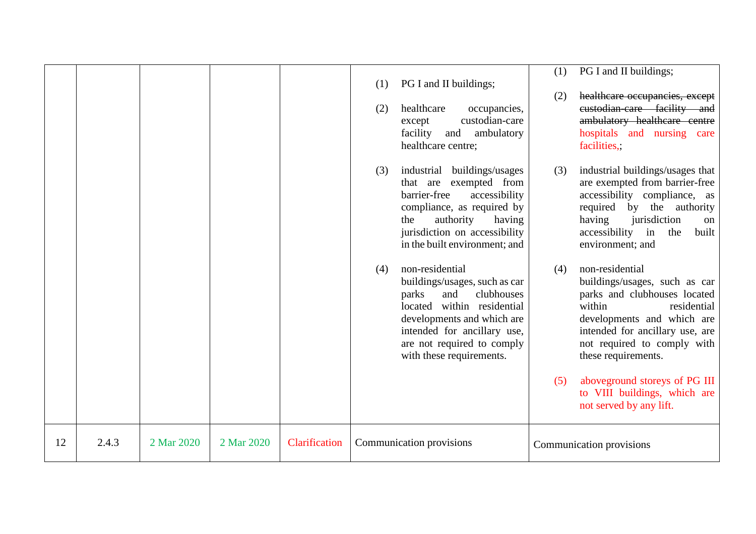|    |       |            |            |               | (1)<br>(2) | PG I and II buildings;<br>healthcare<br>occupancies,<br>custodian-care<br>except<br>facility and<br>ambulatory<br>healthcare centre;                                                                                                | (1)<br>(2) | PG I and II buildings;<br>healthcare occupancies, except<br>eustodian-care facility and<br>ambulatory healthcare centre<br>hospitals and nursing care<br>facilities,;                                                                                                                             |
|----|-------|------------|------------|---------------|------------|-------------------------------------------------------------------------------------------------------------------------------------------------------------------------------------------------------------------------------------|------------|---------------------------------------------------------------------------------------------------------------------------------------------------------------------------------------------------------------------------------------------------------------------------------------------------|
|    |       |            |            |               | (3)        | industrial buildings/usages<br>that are exempted from<br>barrier-free<br>accessibility<br>compliance, as required by<br>authority<br>the<br>having<br>jurisdiction on accessibility<br>in the built environment; and                | (3)        | industrial buildings/usages that<br>are exempted from barrier-free<br>accessibility compliance, as<br>required by the authority<br>jurisdiction<br>having<br>on<br>accessibility in<br>the<br>built<br>environment; and                                                                           |
|    |       |            |            |               | (4)        | non-residential<br>buildings/usages, such as car<br>clubhouses<br>parks<br>and<br>located within residential<br>developments and which are<br>intended for ancillary use,<br>are not required to comply<br>with these requirements. | (4)<br>(5) | non-residential<br>buildings/usages, such as car<br>parks and clubhouses located<br>within<br>residential<br>developments and which are<br>intended for ancillary use, are<br>not required to comply with<br>these requirements.<br>aboveground storeys of PG III<br>to VIII buildings, which are |
|    |       |            |            |               |            |                                                                                                                                                                                                                                     |            | not served by any lift.                                                                                                                                                                                                                                                                           |
| 12 | 2.4.3 | 2 Mar 2020 | 2 Mar 2020 | Clarification |            | Communication provisions                                                                                                                                                                                                            |            | Communication provisions                                                                                                                                                                                                                                                                          |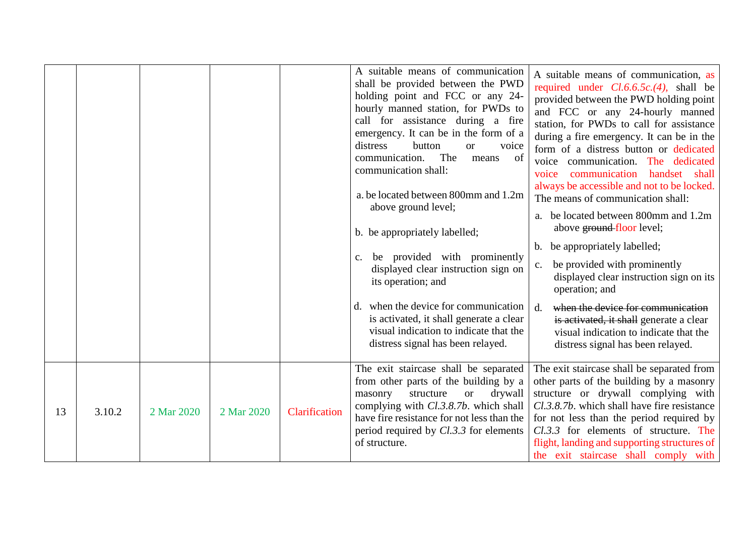|    |        |            |            |               | A suitable means of communication<br>shall be provided between the PWD<br>holding point and FCC or any 24-<br>hourly manned station, for PWDs to<br>call for assistance during a fire<br>emergency. It can be in the form of a<br>distress<br>button<br>voice<br><sub>or</sub><br>The<br>communication.<br>— of<br>means<br>communication shall:<br>a. be located between 800mm and 1.2m<br>above ground level;<br>b. be appropriately labelled;<br>be provided with prominently<br>$C_{\bullet}$<br>displayed clear instruction sign on<br>its operation; and<br>when the device for communication<br>$d_{\cdot}$<br>is activated, it shall generate a clear<br>visual indication to indicate that the<br>distress signal has been relayed. | A suitable means of communication, as<br>required under $Cl.6.6.5c.(4)$ , shall be<br>provided between the PWD holding point<br>and FCC or any 24-hourly manned<br>station, for PWDs to call for assistance<br>during a fire emergency. It can be in the<br>form of a distress button or dedicated<br>voice communication. The dedicated<br>communication<br>handset shall<br>voice<br>always be accessible and not to be locked.<br>The means of communication shall:<br>a. be located between 800mm and 1.2m<br>above ground floor level;<br>b. be appropriately labelled;<br>be provided with prominently<br>c.<br>displayed clear instruction sign on its<br>operation; and<br>when the device for communication<br>$d_{\cdot}$<br>is activated, it shall generate a clear<br>visual indication to indicate that the<br>distress signal has been relayed. |
|----|--------|------------|------------|---------------|----------------------------------------------------------------------------------------------------------------------------------------------------------------------------------------------------------------------------------------------------------------------------------------------------------------------------------------------------------------------------------------------------------------------------------------------------------------------------------------------------------------------------------------------------------------------------------------------------------------------------------------------------------------------------------------------------------------------------------------------|---------------------------------------------------------------------------------------------------------------------------------------------------------------------------------------------------------------------------------------------------------------------------------------------------------------------------------------------------------------------------------------------------------------------------------------------------------------------------------------------------------------------------------------------------------------------------------------------------------------------------------------------------------------------------------------------------------------------------------------------------------------------------------------------------------------------------------------------------------------|
| 13 | 3.10.2 | 2 Mar 2020 | 2 Mar 2020 | Clarification | The exit staircase shall be separated<br>from other parts of the building by a<br>drywall<br>structure<br>masonry<br><b>or</b><br>complying with <i>Cl.3.8.7b</i> . which shall<br>have fire resistance for not less than the<br>period required by $Cl.3.3$ for elements<br>of structure.                                                                                                                                                                                                                                                                                                                                                                                                                                                   | The exit staircase shall be separated from<br>other parts of the building by a masonry<br>structure or drywall complying with<br>Cl.3.8.7b. which shall have fire resistance<br>for not less than the period required by<br>Cl.3.3 for elements of structure. The<br>flight, landing and supporting structures of<br>the exit staircase shall comply with                                                                                                                                                                                                                                                                                                                                                                                                                                                                                                     |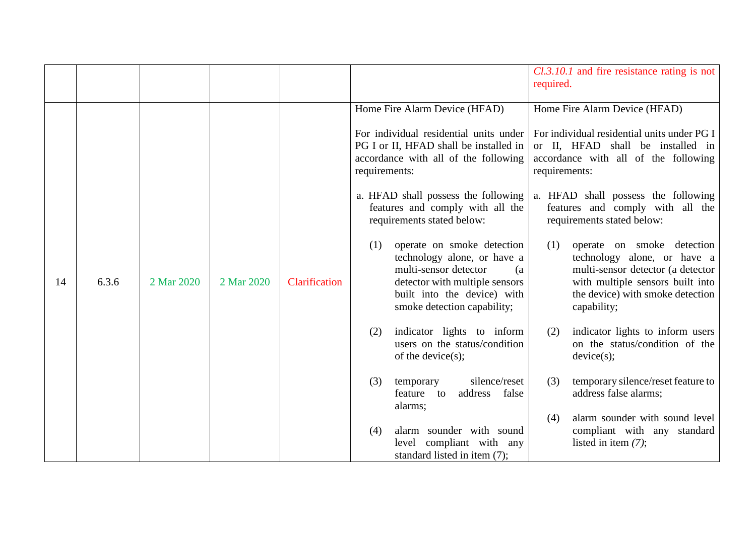|    |       |            |            |               |                                                                                                                                                                                                  | $Cl.3.10.1$ and fire resistance rating is not<br>required.                                                                                                                                   |
|----|-------|------------|------------|---------------|--------------------------------------------------------------------------------------------------------------------------------------------------------------------------------------------------|----------------------------------------------------------------------------------------------------------------------------------------------------------------------------------------------|
|    |       |            |            |               | Home Fire Alarm Device (HFAD)                                                                                                                                                                    | Home Fire Alarm Device (HFAD)                                                                                                                                                                |
|    |       |            |            |               | For individual residential units under<br>PG I or II, HFAD shall be installed in<br>accordance with all of the following<br>requirements:                                                        | For individual residential units under PG I<br>or II, HFAD shall be installed in<br>accordance with all of the following<br>requirements:                                                    |
|    |       |            |            |               | a. HFAD shall possess the following<br>features and comply with all the<br>requirements stated below:                                                                                            | a. HFAD shall possess the following<br>features and comply with all the<br>requirements stated below:                                                                                        |
| 14 | 6.3.6 | 2 Mar 2020 | 2 Mar 2020 | Clarification | operate on smoke detection<br>(1)<br>technology alone, or have a<br>multi-sensor detector<br>(a)<br>detector with multiple sensors<br>built into the device) with<br>smoke detection capability; | operate on smoke detection<br>(1)<br>technology alone, or have a<br>multi-sensor detector (a detector<br>with multiple sensors built into<br>the device) with smoke detection<br>capability; |
|    |       |            |            |               | indicator lights to inform<br>(2)<br>users on the status/condition<br>of the device $(s)$ ;                                                                                                      | indicator lights to inform users<br>(2)<br>on the status/condition of the<br>device(s);                                                                                                      |
|    |       |            |            |               | silence/reset<br>(3)<br>temporary<br>false<br>address<br>feature to<br>alarms;                                                                                                                   | temporary silence/reset feature to<br>(3)<br>address false alarms;                                                                                                                           |
|    |       |            |            |               | alarm sounder with sound<br>(4)<br>level compliant with any<br>standard listed in item (7);                                                                                                      | alarm sounder with sound level<br>(4)<br>compliant with any standard<br>listed in item $(7)$ ;                                                                                               |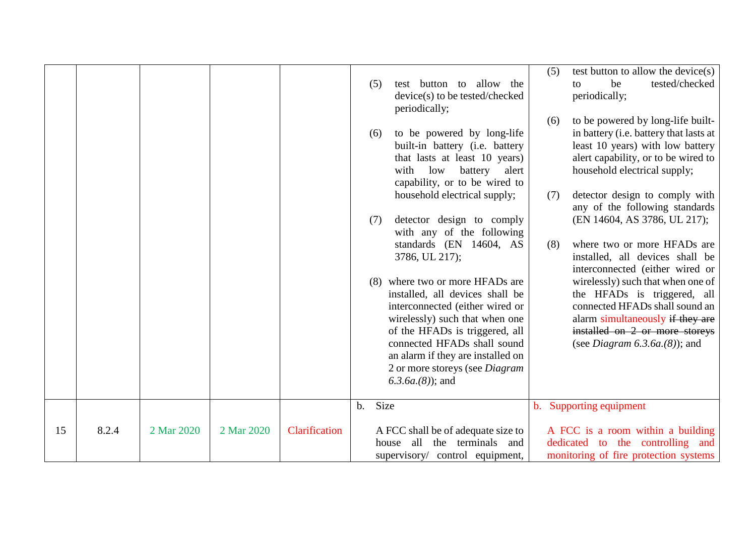|    |       |            |            |               |                                                                                       | (5)            | test button to allow the device(s)                                   |
|----|-------|------------|------------|---------------|---------------------------------------------------------------------------------------|----------------|----------------------------------------------------------------------|
|    |       |            |            |               | test button to<br>allow the<br>(5)<br>device(s) to be tested/checked<br>periodically; |                | be<br>tested/checked<br>to<br>periodically;                          |
|    |       |            |            |               |                                                                                       | (6)            | to be powered by long-life built-                                    |
|    |       |            |            |               | to be powered by long-life<br>(6)                                                     |                | in battery (i.e. battery that lasts at                               |
|    |       |            |            |               | built-in battery (i.e. battery                                                        |                | least 10 years) with low battery                                     |
|    |       |            |            |               | that lasts at least 10 years)                                                         |                | alert capability, or to be wired to                                  |
|    |       |            |            |               | with low<br>battery<br>alert                                                          |                | household electrical supply;                                         |
|    |       |            |            |               | capability, or to be wired to<br>household electrical supply;                         | (7)            | detector design to comply with                                       |
|    |       |            |            |               |                                                                                       |                | any of the following standards                                       |
|    |       |            |            |               | detector design to comply<br>(7)                                                      |                | (EN 14604, AS 3786, UL 217);                                         |
|    |       |            |            |               | with any of the following                                                             |                |                                                                      |
|    |       |            |            |               | standards (EN 14604, AS                                                               | (8)            | where two or more HFADs are                                          |
|    |       |            |            |               | 3786, UL 217);                                                                        |                | installed, all devices shall be                                      |
|    |       |            |            |               | where two or more HFADs are<br>(8)                                                    |                | interconnected (either wired or<br>wirelessly) such that when one of |
|    |       |            |            |               | installed, all devices shall be                                                       |                | the HFADs is triggered, all                                          |
|    |       |            |            |               | interconnected (either wired or                                                       |                | connected HFADs shall sound an                                       |
|    |       |            |            |               | wirelessly) such that when one                                                        |                | alarm simultaneously if they are                                     |
|    |       |            |            |               | of the HFADs is triggered, all                                                        |                | installed on 2 or more storeys                                       |
|    |       |            |            |               | connected HFADs shall sound                                                           |                | (see <i>Diagram</i> $6.3.6a(8)$ ); and                               |
|    |       |            |            |               | an alarm if they are installed on<br>2 or more storeys (see Diagram                   |                |                                                                      |
|    |       |            |            |               | $(6.3.6a.(8))$ ; and                                                                  |                |                                                                      |
|    |       |            |            |               |                                                                                       |                |                                                                      |
|    |       |            |            |               | Size<br>$b_{\cdot}$                                                                   | $\mathbf{b}$ . | Supporting equipment                                                 |
| 15 | 8.2.4 | 2 Mar 2020 | 2 Mar 2020 | Clarification | A FCC shall be of adequate size to                                                    |                | A FCC is a room within a building                                    |
|    |       |            |            |               | all the terminals and<br>house                                                        |                | dedicated to the controlling and                                     |
|    |       |            |            |               | supervisory/ control equipment,                                                       |                | monitoring of fire protection systems                                |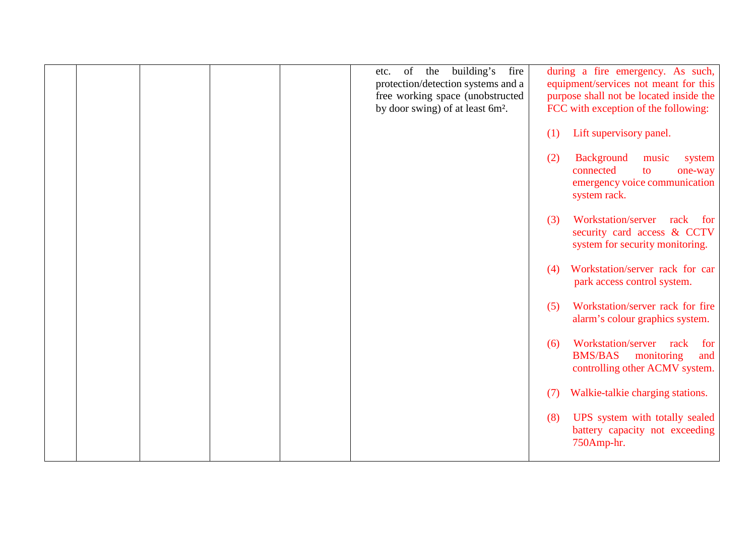|  |  | of<br>the<br>etc.<br>protection/detection systems and a<br>free working space (unobstructed<br>by door swing) of at least 6m <sup>2</sup> . | building's<br>fire |     | during a fire emergency. As such,<br>equipment/services not meant for this<br>purpose shall not be located inside the<br>FCC with exception of the following: |
|--|--|---------------------------------------------------------------------------------------------------------------------------------------------|--------------------|-----|---------------------------------------------------------------------------------------------------------------------------------------------------------------|
|  |  |                                                                                                                                             |                    | (1) | Lift supervisory panel.                                                                                                                                       |
|  |  |                                                                                                                                             |                    | (2) | <b>Background</b><br>music<br>system<br>connected<br>to<br>one-way<br>emergency voice communication<br>system rack.                                           |
|  |  |                                                                                                                                             |                    | (3) | Workstation/server<br>rack<br>for<br>security card access & CCTV<br>system for security monitoring.                                                           |
|  |  |                                                                                                                                             |                    | (4) | Workstation/server rack for car<br>park access control system.                                                                                                |
|  |  |                                                                                                                                             |                    | (5) | Workstation/server rack for fire<br>alarm's colour graphics system.                                                                                           |
|  |  |                                                                                                                                             |                    | (6) | Workstation/server<br>rack<br>for<br><b>BMS/BAS</b><br>monitoring<br>and<br>controlling other ACMV system.                                                    |
|  |  |                                                                                                                                             |                    | (7) | Walkie-talkie charging stations.                                                                                                                              |
|  |  |                                                                                                                                             |                    | (8) | UPS system with totally sealed<br>battery capacity not exceeding<br>750Amp-hr.                                                                                |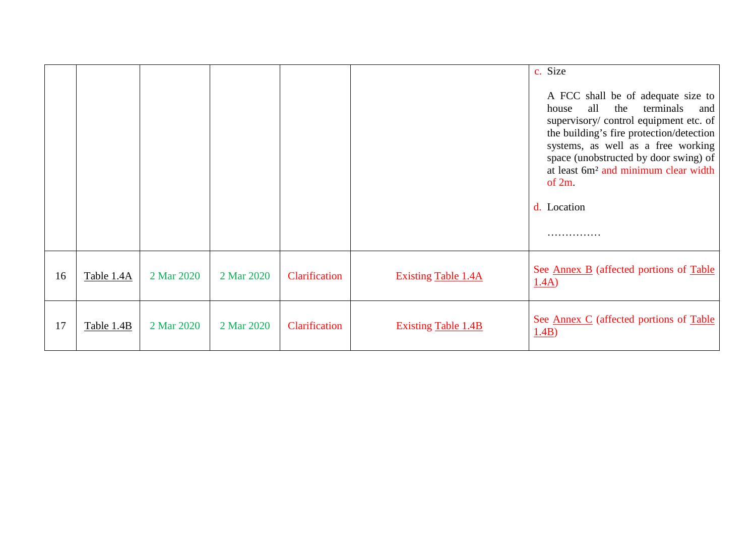|    |            |            |            |               |                            | c. Size<br>A FCC shall be of adequate size to<br>all<br>the<br>terminals<br>house<br>and<br>supervisory/control equipment etc. of<br>the building's fire protection/detection<br>systems, as well as a free working<br>space (unobstructed by door swing) of<br>at least 6m <sup>2</sup> and minimum clear width<br>of $2m$ .<br>d. Location |
|----|------------|------------|------------|---------------|----------------------------|----------------------------------------------------------------------------------------------------------------------------------------------------------------------------------------------------------------------------------------------------------------------------------------------------------------------------------------------|
| 16 | Table 1.4A | 2 Mar 2020 | 2 Mar 2020 | Clarification | <b>Existing Table 1.4A</b> | See <u>Annex B</u> (affected portions of Table<br>1.4A)                                                                                                                                                                                                                                                                                      |
| 17 | Table 1.4B | 2 Mar 2020 | 2 Mar 2020 | Clarification | <b>Existing Table 1.4B</b> | See <u>Annex C</u> (affected portions of Table<br>1.4B)                                                                                                                                                                                                                                                                                      |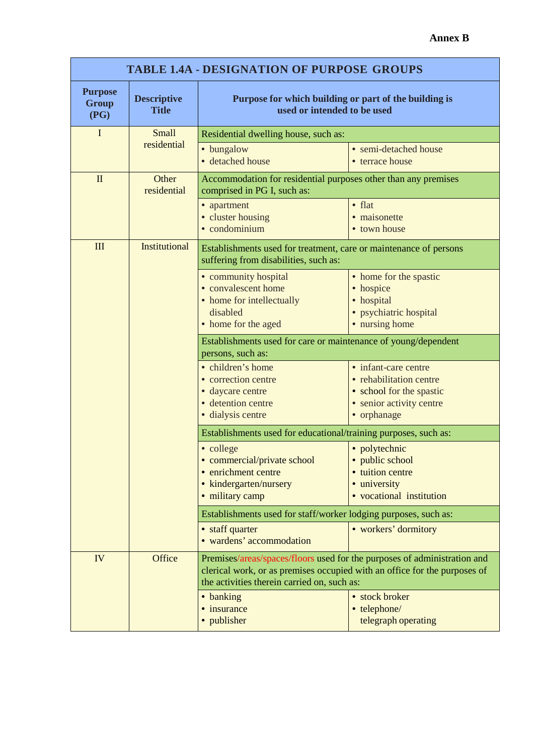| <b>TABLE 1.4A - DESIGNATION OF PURPOSE GROUPS</b> |                                    |                                                                                                                                                                                                      |                                                                                                                        |  |
|---------------------------------------------------|------------------------------------|------------------------------------------------------------------------------------------------------------------------------------------------------------------------------------------------------|------------------------------------------------------------------------------------------------------------------------|--|
| <b>Purpose</b><br><b>Group</b><br>(PG)            | <b>Descriptive</b><br><b>Title</b> | Purpose for which building or part of the building is<br>used or intended to be used                                                                                                                 |                                                                                                                        |  |
| I                                                 | Small                              | Residential dwelling house, such as:                                                                                                                                                                 |                                                                                                                        |  |
|                                                   | residential                        | • bungalow<br>· detached house                                                                                                                                                                       | • semi-detached house<br>• terrace house                                                                               |  |
| $\mathbf{I}$<br>Other<br>residential              |                                    | Accommodation for residential purposes other than any premises<br>comprised in PG I, such as:                                                                                                        |                                                                                                                        |  |
|                                                   |                                    | • apartment<br>• cluster housing<br>• condominium                                                                                                                                                    | $\bullet$ flat<br>· maisonette<br>• town house                                                                         |  |
| III                                               | <b>Institutional</b>               | Establishments used for treatment, care or maintenance of persons<br>suffering from disabilities, such as:                                                                                           |                                                                                                                        |  |
|                                                   |                                    | · community hospital<br>• convalescent home<br>• home for intellectually<br>disabled<br>• home for the aged                                                                                          | • home for the spastic<br>• hospice<br>· hospital<br>· psychiatric hospital<br>• nursing home                          |  |
|                                                   |                                    | Establishments used for care or maintenance of young/dependent<br>persons, such as:                                                                                                                  |                                                                                                                        |  |
|                                                   |                                    | • children's home<br>• correction centre<br>· daycare centre<br>· detention centre<br>· dialysis centre                                                                                              | • infant-care centre<br>• rehabilitation centre<br>• school for the spastic<br>• senior activity centre<br>• orphanage |  |
|                                                   |                                    | Establishments used for educational/training purposes, such as:                                                                                                                                      |                                                                                                                        |  |
|                                                   |                                    | • college<br>• commercial/private school<br>• enrichment centre<br>• kindergarten/nursery<br>· military camp                                                                                         | · polytechnic<br>· public school<br>• tuition centre<br>• university<br>• vocational institution                       |  |
|                                                   |                                    | Establishments used for staff/worker lodging purposes, such as:                                                                                                                                      |                                                                                                                        |  |
|                                                   |                                    | • staff quarter<br>• wardens' accommodation                                                                                                                                                          | • workers' dormitory                                                                                                   |  |
| <b>IV</b>                                         | Office                             | Premises/areas/spaces/floors used for the purposes of administration and<br>clerical work, or as premises occupied with an office for the purposes of<br>the activities therein carried on, such as: |                                                                                                                        |  |
|                                                   |                                    | • banking<br>• insurance<br>• publisher                                                                                                                                                              | • stock broker<br>• telephone/<br>telegraph operating                                                                  |  |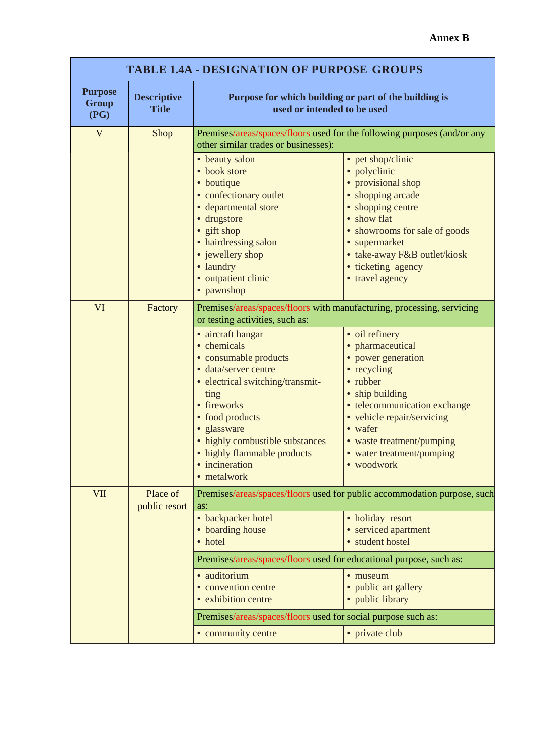| <b>TABLE 1.4A - DESIGNATION OF PURPOSE GROUPS</b> |                                    |                                                                                                                                                                                                                                                                                 |                                                                                                                                                                                                                                                         |  |
|---------------------------------------------------|------------------------------------|---------------------------------------------------------------------------------------------------------------------------------------------------------------------------------------------------------------------------------------------------------------------------------|---------------------------------------------------------------------------------------------------------------------------------------------------------------------------------------------------------------------------------------------------------|--|
| <b>Purpose</b><br><b>Group</b><br>(PG)            | <b>Descriptive</b><br><b>Title</b> | Purpose for which building or part of the building is<br>used or intended to be used                                                                                                                                                                                            |                                                                                                                                                                                                                                                         |  |
| $\mathbf{V}$                                      | Shop                               | Premises/areas/spaces/floors used for the following purposes (and/or any<br>other similar trades or businesses):                                                                                                                                                                |                                                                                                                                                                                                                                                         |  |
|                                                   |                                    | • beauty salon<br>• book store<br>• boutique<br>• confectionary outlet<br>· departmental store<br>· drugstore<br>• gift shop<br>• hairdressing salon<br>• jewellery shop<br>· laundry<br>· outpatient clinic<br>• pawnshop                                                      | • pet shop/clinic<br>· polyclinic<br>• provisional shop<br>• shopping arcade<br>• shopping centre<br>• show flat<br>• showrooms for sale of goods<br>• supermarket<br>• take-away F&B outlet/kiosk<br>· ticketing agency<br>• travel agency             |  |
| VI                                                | Factory                            | Premises/areas/spaces/floors with manufacturing, processing, servicing<br>or testing activities, such as:                                                                                                                                                                       |                                                                                                                                                                                                                                                         |  |
|                                                   |                                    | • aircraft hangar<br>• chemicals<br>• consumable products<br>· data/server centre<br>• electrical switching/transmit-<br>ting<br>• fireworks<br>• food products<br>· glassware<br>• highly combustible substances<br>• highly flammable products<br>incineration<br>• metalwork | · oil refinery<br>• pharmaceutical<br>• power generation<br>• recycling<br>• rubber<br>• ship building<br>• telecommunication exchange<br>• vehicle repair/servicing<br>• wafer<br>• waste treatment/pumping<br>• water treatment/pumping<br>• woodwork |  |
| VII                                               | Place of<br>public resort          | as:                                                                                                                                                                                                                                                                             | Premises/areas/spaces/floors used for public accommodation purpose, such                                                                                                                                                                                |  |
|                                                   |                                    | • backpacker hotel<br>• boarding house<br>• hotel                                                                                                                                                                                                                               | · holiday resort<br>• serviced apartment<br>· student hostel                                                                                                                                                                                            |  |
|                                                   |                                    | Premises/areas/spaces/floors used for educational purpose, such as:                                                                                                                                                                                                             |                                                                                                                                                                                                                                                         |  |
|                                                   |                                    | · auditorium<br>• convention centre<br>• exhibition centre                                                                                                                                                                                                                      | • museum<br>• public art gallery<br>• public library                                                                                                                                                                                                    |  |
|                                                   |                                    | Premises/areas/spaces/floors used for social purpose such as:                                                                                                                                                                                                                   |                                                                                                                                                                                                                                                         |  |
|                                                   |                                    | • community centre                                                                                                                                                                                                                                                              | • private club                                                                                                                                                                                                                                          |  |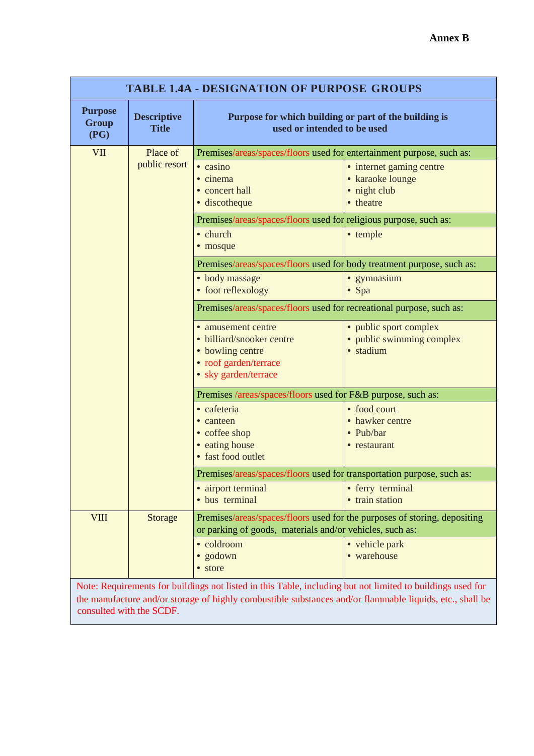| <b>TABLE 1.4A - DESIGNATION OF PURPOSE GROUPS</b> |                                    |                                                                                                                                                                                                                           |                                                                           |  |
|---------------------------------------------------|------------------------------------|---------------------------------------------------------------------------------------------------------------------------------------------------------------------------------------------------------------------------|---------------------------------------------------------------------------|--|
| <b>Purpose</b><br><b>Group</b><br>(PG)            | <b>Descriptive</b><br><b>Title</b> | Purpose for which building or part of the building is<br>used or intended to be used                                                                                                                                      |                                                                           |  |
| <b>VII</b>                                        | Place of<br>public resort          | Premises/areas/spaces/floors used for entertainment purpose, such as:<br>$\bullet$ casino<br>• cinema<br>• concert hall<br>· discotheque<br>Premises/areas/spaces/floors used for religious purpose, such as:<br>• church | • internet gaming centre<br>• karaoke lounge<br>· night club<br>• theatre |  |
|                                                   |                                    | • mosque<br>Premises/areas/spaces/floors used for body treatment purpose, such as:                                                                                                                                        | • temple                                                                  |  |
|                                                   |                                    | · body massage<br>• foot reflexology                                                                                                                                                                                      | • gymnasium<br>• Spa                                                      |  |
|                                                   |                                    | Premises/areas/spaces/floors used for recreational purpose, such as:                                                                                                                                                      |                                                                           |  |
|                                                   |                                    | • amusement centre<br>· billiard/snooker centre<br>• bowling centre<br>• roof garden/terrace<br>• sky garden/terrace                                                                                                      | • public sport complex<br>• public swimming complex<br>· stadium          |  |
|                                                   |                                    | Premises /areas/spaces/floors used for F&B purpose, such as:                                                                                                                                                              |                                                                           |  |
|                                                   |                                    | • cafeteria<br>• canteen<br>• coffee shop<br>• eating house<br>• fast food outlet                                                                                                                                         | • food court<br>• hawker centre<br>• Pub/bar<br>• restaurant              |  |
|                                                   |                                    | Premises/areas/spaces/floors used for transportation purpose, such as:                                                                                                                                                    |                                                                           |  |
|                                                   |                                    | · airport terminal<br>· bus terminal                                                                                                                                                                                      | • ferry terminal<br>· train station                                       |  |
| <b>VIII</b>                                       | <b>Storage</b>                     | Premises/areas/spaces/floors used for the purposes of storing, depositing<br>or parking of goods, materials and/or vehicles, such as:                                                                                     |                                                                           |  |
|                                                   |                                    | · coldroom<br>· godown<br>• store<br>Note: Requirements for buildings not listed in this Table, including but not limited to buildings used for                                                                           | • vehicle park<br>• warehouse                                             |  |

Note: Requirements for buildings not listed in this Table, including but not limited to buildings used for the manufacture and/or storage of highly combustible substances and/or flammable liquids, etc., shall be consulted with the SCDF.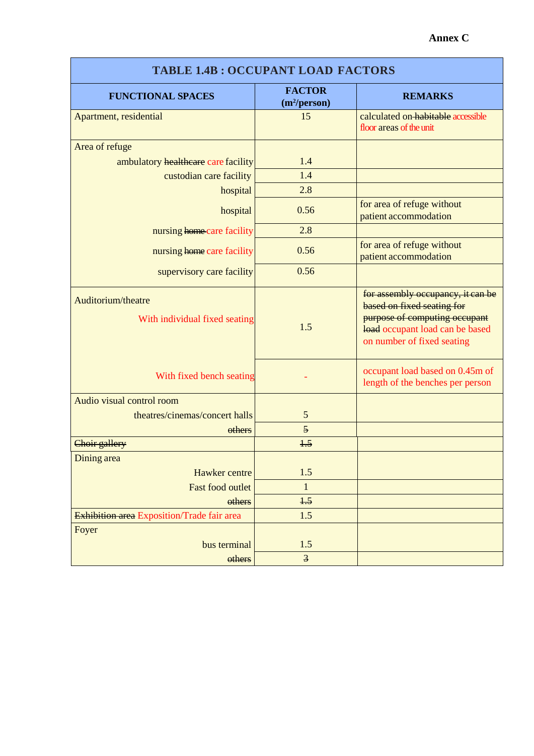| <b>TABLE 1.4B: OCCUPANT LOAD FACTORS</b>            |                                           |                                                                                                                                                                   |  |  |
|-----------------------------------------------------|-------------------------------------------|-------------------------------------------------------------------------------------------------------------------------------------------------------------------|--|--|
| <b>FUNCTIONAL SPACES</b>                            | <b>FACTOR</b><br>(m <sup>2</sup> /person) | <b>REMARKS</b>                                                                                                                                                    |  |  |
| Apartment, residential                              | 15                                        | calculated on habitable accessible<br>floor areas of the unit                                                                                                     |  |  |
| Area of refuge                                      |                                           |                                                                                                                                                                   |  |  |
| ambulatory healthcare care facility                 | 1.4                                       |                                                                                                                                                                   |  |  |
| custodian care facility                             | 1.4                                       |                                                                                                                                                                   |  |  |
| hospital                                            | 2.8                                       |                                                                                                                                                                   |  |  |
| hospital                                            | 0.56                                      | for area of refuge without<br>patient accommodation                                                                                                               |  |  |
| nursing home care facility                          | 2.8                                       |                                                                                                                                                                   |  |  |
| nursing home care facility                          | 0.56                                      | for area of refuge without<br>patient accommodation                                                                                                               |  |  |
| supervisory care facility                           | 0.56                                      |                                                                                                                                                                   |  |  |
| Auditorium/theatre<br>With individual fixed seating | 1.5                                       | for assembly occupancy, it can be<br>based on fixed seating for<br>purpose of computing occupant<br>load occupant load can be based<br>on number of fixed seating |  |  |
| With fixed bench seating                            |                                           | occupant load based on 0.45m of<br>length of the benches per person                                                                                               |  |  |
| Audio visual control room                           |                                           |                                                                                                                                                                   |  |  |
| theatres/cinemas/concert halls                      | 5                                         |                                                                                                                                                                   |  |  |
| others                                              | 5                                         |                                                                                                                                                                   |  |  |
| Choir gallery                                       | 1.5                                       |                                                                                                                                                                   |  |  |
| Dining area                                         |                                           |                                                                                                                                                                   |  |  |
| Hawker centre                                       | 1.5                                       |                                                                                                                                                                   |  |  |
| <b>Fast food outlet</b>                             | $\mathbf{1}$                              |                                                                                                                                                                   |  |  |
| others                                              | $+5$                                      |                                                                                                                                                                   |  |  |
| Exhibition area Exposition/Trade fair area          | 1.5                                       |                                                                                                                                                                   |  |  |
| Foyer<br>bus terminal                               | 1.5                                       |                                                                                                                                                                   |  |  |
| others                                              | $\overline{\mathbf{3}}$                   |                                                                                                                                                                   |  |  |

Г

## **Annex C**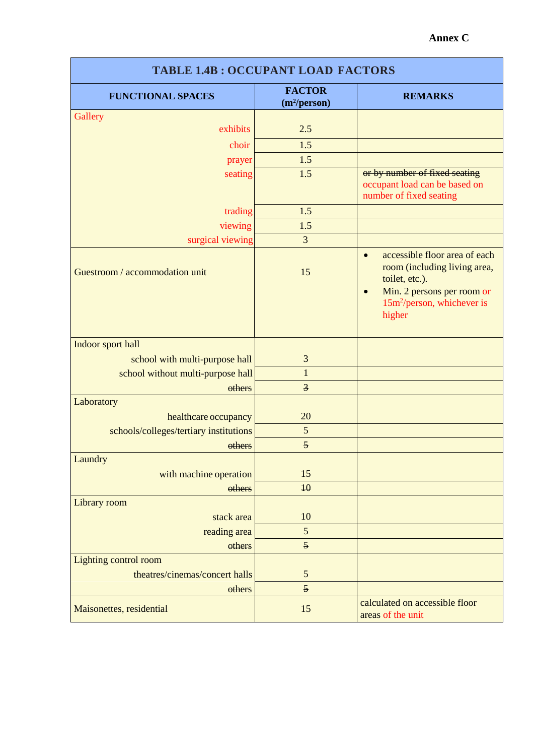### **Annex C**

| <b>TABLE 1.4B: OCCUPANT LOAD FACTORS</b> |                                           |                                                                                                                                                                                             |  |
|------------------------------------------|-------------------------------------------|---------------------------------------------------------------------------------------------------------------------------------------------------------------------------------------------|--|
| <b>FUNCTIONAL SPACES</b>                 | <b>FACTOR</b><br>(m <sup>2</sup> /person) | <b>REMARKS</b>                                                                                                                                                                              |  |
| Gallery                                  |                                           |                                                                                                                                                                                             |  |
| exhibits                                 | 2.5                                       |                                                                                                                                                                                             |  |
| choir                                    | 1.5                                       |                                                                                                                                                                                             |  |
| prayer                                   | 1.5                                       |                                                                                                                                                                                             |  |
| seating                                  | 1.5                                       | or by number of fixed seating<br>occupant load can be based on<br>number of fixed seating                                                                                                   |  |
| trading                                  | 1.5                                       |                                                                                                                                                                                             |  |
| viewing                                  | 1.5                                       |                                                                                                                                                                                             |  |
| surgical viewing                         | 3                                         |                                                                                                                                                                                             |  |
| Guestroom / accommodation unit           | 15                                        | accessible floor area of each<br>$\bullet$<br>room (including living area,<br>toilet, etc.).<br>Min. 2 persons per room or<br>$\bullet$<br>15m <sup>2</sup> /person, whichever is<br>higher |  |
| Indoor sport hall                        |                                           |                                                                                                                                                                                             |  |
| school with multi-purpose hall           | 3                                         |                                                                                                                                                                                             |  |
| school without multi-purpose hall        | $\mathbf{1}$                              |                                                                                                                                                                                             |  |
| others                                   | $\overline{3}$                            |                                                                                                                                                                                             |  |
| Laboratory                               |                                           |                                                                                                                                                                                             |  |
| healthcare occupancy                     | 20                                        |                                                                                                                                                                                             |  |
| schools/colleges/tertiary institutions   | 5                                         |                                                                                                                                                                                             |  |
| others                                   | $\overline{5}$                            |                                                                                                                                                                                             |  |
| Laundry                                  |                                           |                                                                                                                                                                                             |  |
| with machine operation                   | 15                                        |                                                                                                                                                                                             |  |
| others                                   | 40                                        |                                                                                                                                                                                             |  |
| Library room                             |                                           |                                                                                                                                                                                             |  |
| stack area                               | 10                                        |                                                                                                                                                                                             |  |
| reading area                             | $\mathfrak{S}$<br>5                       |                                                                                                                                                                                             |  |
| others                                   |                                           |                                                                                                                                                                                             |  |
| Lighting control room                    |                                           |                                                                                                                                                                                             |  |
| theatres/cinemas/concert halls           | $\sqrt{5}$<br>$\overline{5}$              |                                                                                                                                                                                             |  |
| others                                   |                                           | calculated on accessible floor                                                                                                                                                              |  |
| Maisonettes, residential                 | 15                                        | areas of the unit                                                                                                                                                                           |  |